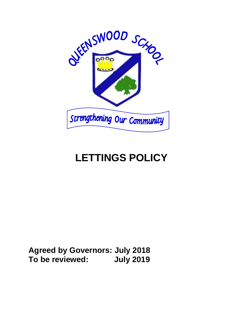

## **LETTINGS POLICY**

**Agreed by Governors: July 2018 To be reviewed: July 2019**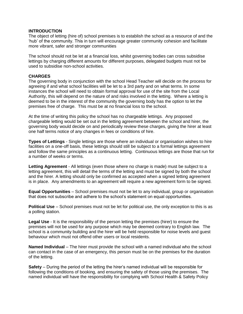## **INTRODUCTION**

The object of letting (hire of) school premises is to establish the school as a resource of and the 'hub' of the community. This in turn will encourage greater community cohesion and facilitate more vibrant, safer and stronger communities

The school should not be let at a financial loss, whilst governing bodies can cross subsidise lettings by charging different amounts for different purposes, delegated budgets must not be used to subsidise non-school activities.

## **CHARGES**

The governing body in conjunction with the school Head Teacher will decide on the process for agreeing if and what school facilities will be let to a 3rd party and on what terms. In some instances the school will need to obtain formal approval for use of the site from the Local Authority, this will depend on the nature of and risks involved in the letting. Where a letting is deemed to be in the interest of the community the governing body has the option to let the premises free of charge. This must be at no financial loss to the school.

At the time of writing this policy the school has no chargeable lettings. Any proposed chargeable letting would be set out in the letting agreement between the school and hirer, the governing body would decide on and periodically review these charges, giving the hirer at least one half terms notice of any changes in fees or conditions of hire.

**Types of Lettings** - Single lettings are those where an individual or organisation wishes to hire facilities on a one-off basis, these lettings should still be subject to a formal lettings agreement and follow the same principles as a continuous letting. Continuous lettings are those that run for a number of weeks or terms.

**Letting Agreement** - All lettings (even those where no charge is made) must be subject to a letting agreement, this will detail the terms of the letting and must be signed by both the school and the hirer. A letting should only be confirmed as accepted when a signed letting agreement is in place. Any amendments to an agreement will require a new agreement form to be signed.

**Equal Opportunities** – School premises must not be let to any individual, group or organisation that does not subscribe and adhere to the school's statement on equal opportunities.

**Political Use** – School premises must not be let for political use, the only exception to this is as a polling station.

**Legal Use** - It is the responsibility of the person letting the premises (hirer) to ensure the premises will not be used for any purpose which may be deemed contrary to English law. The school is a community building and the hirer will be held responsible for noise levels and guest behaviour which must not offend other users or local residents.

**Named Individual** – The hirer must provide the school with a named individual who the school can contact in the case of an emergency, this person must be on the premises for the duration of the letting.

**Safety** – During the period of the letting the hirer's named individual will be responsible for following the conditions of booking, and ensuring the safety of those using the premises. The named individual will have the responsibility for complying with School Health & Safety Policy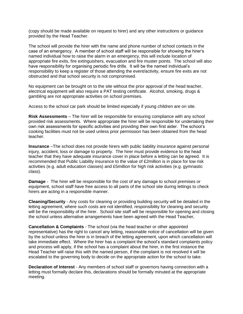(copy should be made available on request to hirer) and any other instructions or guidance provided by the Head Teacher.

The school will provide the hirer with the name and phone number of school contacts in the case of an emergency. A member of school staff will be responsible for showing the hirer's named individual how to raise the alarm in an emergency, this will include location of appropriate fire exits, fire extinguishers, evacuation and fire muster points. The school will also have responsibility for organising periodic fire drills. It will be the named individual's responsibility to keep a register of those attending the event/activity, ensure fire exits are not obstructed and that school security is not compromised.

No equipment can be brought on to the site without the prior approval of the head teacher, electrical equipment will also require a PAT testing certificate. Alcohol, smoking, drugs & gambling are not appropriate activities on school premises.

Access to the school car park should be limited especially if young children are on site.

**Risk Assessments** – The hirer will be responsible for ensuring compliance with any school provided risk assessments. Where appropriate the hirer will be responsible for undertaking their own risk assessments for specific activities and providing their own first aider. The school's cooking facilities must not be used unless prior permission has been obtained from the head teacher.

**Insurance** –The school does not provide hirers with public liability insurance against personal injury, accident, loss or damage to property. The hirer must provide evidence to the head teacher that they have adequate insurance cover in place before a letting can be agreed. It is recommended that Public Liability insurance to the value of £2million is in place for low risk activities (e.g. adult education classes) and £5million for high risk activities (e.g. gymnastic class).

**Damage** - The hirer will be responsible for the cost of any damage to school premises or equipment, school staff have free access to all parts of the school site during lettings to check hirers are acting in a responsible manner.

**Cleaning/Security** - Any costs for cleaning or providing building security will be detailed in the letting agreement, where such costs are not identified, responsibility for cleaning and security will be the responsibility of the hirer. School site staff will be responsible for opening and closing the school unless alternative arrangements have been agreed with the Head Teacher,

**Cancellation & Complaints** - The school (via the head teacher or other appointed representative) has the right to cancel any letting, reasonable notice of cancellation will be given by the school unless the hirer is in breach of the letting agreement, upon which cancellation will take immediate effect. Where the hirer has a complaint the school's standard complaints policy and process will apply, if the school has a complaint about the hirer, in the first instance the Head Teacher will raise this with the named person, if the complaint is not resolved it will be escalated to the governing body to decide on the appropriate action for the school to take.

**Declaration of Interest** - Any members of school staff or governors having connection with a letting must formally declare this, declarations should be formally minuted at the appropriate meeting.